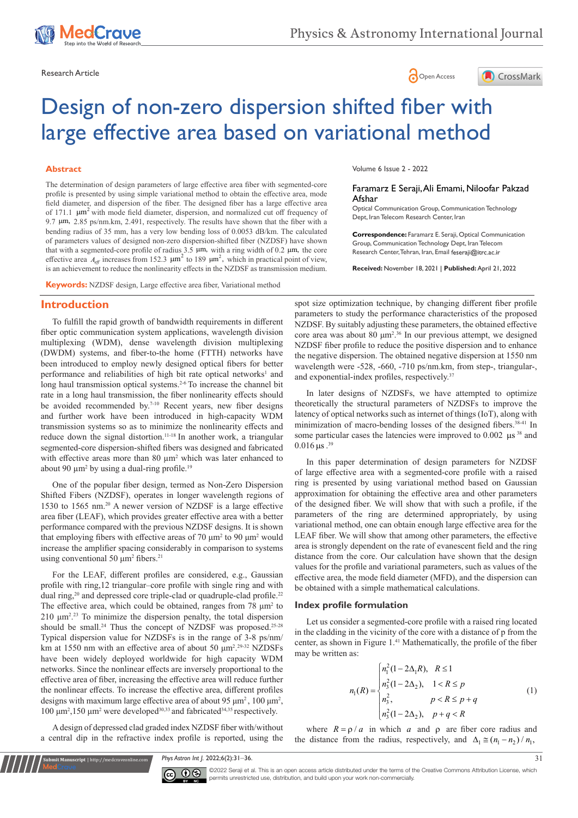





# Design of non-zero dispersion shifted fiber with large effective area based on variational method

## **Abstract**

The determination of design parameters of large effective area fiber with segmented-core profile is presented by using simple variational method to obtain the effective area, mode field diameter, and dispersion of the fiber. The designed fiber has a large effective area of 171.1  $\mu$ m<sup>2</sup> with mode field diameter, dispersion, and normalized cut off frequency of 9.7 µm, 2.85 ps/nm.km, 2.491, respectively. The results have shown that the fiber with a bending radius of 35 mm, has a very low bending loss of 0.0053 dB/km. The calculated of parameters values of designed non-zero dispersion-shifted fiber (NZDSF) have shown that with a segmented-core profile of radius  $3.5 \mu m$ , with a ring width of 0.2  $\mu m$ , the core effective area  $A_{\text{eff}}$  increases from 152.3  $\mu$ m<sup>2</sup> to 189  $\mu$ m<sup>2</sup>, which in practical point of view, is an achievement to reduce the nonlinearity effects in the NZDSF as transmission medium.

**Keywords:** NZDSF design, Large effective area fiber, Variational method

### **Introduction**

To fulfill the rapid growth of bandwidth requirements in different fiber optic communication system applications, wavelength division multiplexing (WDM), dense wavelength division multiplexing (DWDM) systems, and fiber-to-the home (FTTH) networks have been introduced to employ newly designed optical fibers for better performance and reliabilities of high bit rate optical networks<sup>1</sup> and long haul transmission optical systems.<sup>2-6</sup> To increase the channel bit rate in a long haul transmission, the fiber nonlinearity effects should be avoided recommended by.<sup>7-10</sup> Recent years, new fiber designs and further work have been introduced in high-capacity WDM transmission systems so as to minimize the nonlinearity effects and reduce down the signal distortion.<sup>11-18</sup> In another work, a triangular segmented-core dispersion-shifted fibers was designed and fabricated with effective areas more than  $80 \mu m^2$  which was later enhanced to about 90  $\mu$ m<sup>2</sup> by using a dual-ring profile.<sup>19</sup>

One of the popular fiber design, termed as Non-Zero Dispersion Shifted Fibers (NZDSF), operates in longer wavelength regions of 1530 to 1565 nm.20 A newer version of NZDSF is a large effective area fiber (LEAF), which provides greater effective area with a better performance compared with the previous NZDSF designs. It is shown that employing fibers with effective areas of 70  $\mu$ m<sup>2</sup> to 90  $\mu$ m<sup>2</sup> would increase the amplifier spacing considerably in comparison to systems using conventional 50  $\mu$ m<sup>2</sup> fibers.<sup>21</sup>

For the LEAF, different profiles are considered, e.g., Gaussian profile with ring,12 triangular–core profile with single ring and with dual ring,<sup>20</sup> and depressed core triple-clad or quadruple-clad profile.<sup>22</sup> The effective area, which could be obtained, ranges from  $78 \mu m^2$  to 210  $\mu$ m<sup>2, 23</sup> To minimize the dispersion penalty, the total dispersion should be small.<sup>24</sup> Thus the concept of NZDSF was proposed.<sup>25-28</sup> Typical dispersion value for NZDSFs is in the range of 3-8 ps/nm/ km at 1550 nm with an effective area of about 50 μm<sup>2</sup>.<sup>29-32</sup> NZDSFs have been widely deployed worldwide for high capacity WDM networks. Since the nonlinear effects are inversely proportional to the effective area of fiber, increasing the effective area will reduce further the nonlinear effects. To increase the effective area, different profiles designs with maximum large effective area of about 95  $\mu$ m<sup>2</sup>, 100  $\mu$ m<sup>2</sup>, 100 μm<sup>2</sup>,150 μm<sup>2</sup> were developed<sup>30,33</sup> and fabricated<sup>34,35</sup> respectively.

A design of depressed clad graded index NZDSF fiber with/without a central dip in the refractive index profile is reported, using the

**it Manuscript** | http://medcraveonline.co

Volume 6 Issue 2 - 2022

#### Faramarz E Seraji, Ali Emami, Niloofar Pakzad Afshar

Optical Communication Group, Communication Technology Dept, Iran Telecom Research Center, Iran

**Correspondence:** Faramarz E. Seraji, Optical Communication Group, Communication Technology Dept, Iran Telecom Research Center, Tehran, Iran, Email feseraji@itrc.ac.ir

**Received:** November 18, 2021 | **Published:** April 21, 2022

spot size optimization technique, by changing different fiber profile parameters to study the performance characteristics of the proposed NZDSF. By suitably adjusting these parameters, the obtained effective core area was about 80  $\mu$ m<sup>2,36</sup> In our previous attempt, we designed NZDSF fiber profile to reduce the positive dispersion and to enhance the negative dispersion. The obtained negative dispersion at 1550 nm wavelength were -528, -660, -710 ps/nm.km, from step-, triangular-, and exponential-index profiles, respectively.<sup>37</sup>

In later designs of NZDSFs, we have attempted to optimize theoretically the structural parameters of NZDSFs to improve the latency of optical networks such as internet of things (IoT), along with minimization of macro-bending losses of the designed fibers.<sup>38-41</sup> In some particular cases the latencies were improved to 0.002  $\mu s^{38}$  and  $0.016 \,\mu s$ .<sup>39</sup>

In this paper determination of design parameters for NZDSF of large effective area with a segmented-core profile with a raised ring is presented by using variational method based on Gaussian approximation for obtaining the effective area and other parameters of the designed fiber. We will show that with such a profile, if the parameters of the ring are determined appropriately, by using variational method, one can obtain enough large effective area for the LEAF fiber. We will show that among other parameters, the effective area is strongly dependent on the rate of evanescent field and the ring distance from the core. Our calculation have shown that the design values for the profile and variational parameters, such as values of the effective area, the mode field diameter (MFD), and the dispersion can be obtained with a simple mathematical calculations.

#### **Index profile formulation**

Let us consider a segmented-core profile with a raised ring located in the cladding in the vicinity of the core with a distance of p from the center, as shown in Figure 1.<sup>41</sup> Mathematically, the profile of the fiber may be written as:

$$
n_1(R) = \begin{cases} n_1^2(1 - 2\Delta_1 R), & R \le 1\\ n_3^2(1 - 2\Delta_2), & 1 < R \le p\\ n_3^2, & p < R \le p + q\\ n_3^2(1 - 2\Delta_2), & p + q < R \end{cases}
$$
(1)

where  $R = \rho/a$  in which *a* and  $\rho$  are fiber core radius and the distance from the radius, respectively, and  $\Delta_1 \cong (n_1 - n_2) / n_1$ ,

*Phys Astron Int J.* 2022;6(2):31‒36. 31



©2022 Seraji et al. This is an open access article distributed under the terms of the [Creative Commons Attribution License](https://creativecommons.org/licenses/by-nc/4.0/), which permits unrestricted use, distribution, and build upon your work non-commercially.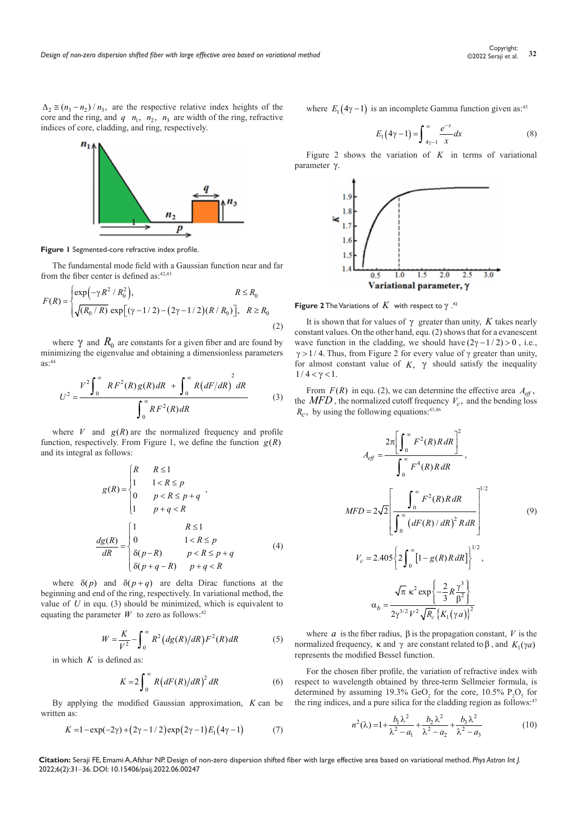$\Delta_2 \approx (n_1 - n_2)/n_3$ , are the respective relative index heights of the core and the ring, and  $q \, n_1$ ,  $n_2$ ,  $n_3$  are width of the ring, refractive indices of core, cladding, and ring, respectively.



#### **Figure 1** Segmented-core refractive index profile.

*U*

The fundamental mode field with a Gaussian function near and far from the fiber center is defined as:  $42,43$ 

$$
F(R) = \begin{cases} \exp(-\gamma R^2 / R_0^2), & R \le R_0 \\ \sqrt{(R_0 / R)} \exp[(\gamma - 1/2) - (2\gamma - 1/2)(R / R_0)], & R \ge R_0 \end{cases}
$$
(2)

where  $\gamma$  and  $R_0$  are constants for a given fiber and are found by minimizing the eigenvalue and obtaining a dimensionless parameters  $as: 44$ 

$$
U^{2} = \frac{V^{2} \int_{0}^{\infty} RF^{2}(R)g(R) dR + \int_{0}^{\infty} R(dF/dR)^{2} dR}{\int_{0}^{\infty} RF^{2}(R) dR}
$$
(3)

where  $V$  and  $g(R)$  are the normalized frequency and profile function, respectively. From Figure 1, we define the function  $g(R)$ and its integral as follows:

$$
g(R) = \begin{cases} R & R \le 1 \\ 1 & 1 < R \le p \\ 0 & p < R \le p + q \\ 1 & p + q < R \end{cases},
$$
\n
$$
\frac{dg(R)}{dR} = \begin{cases} 1 & R \le 1 \\ 0 & 1 < R \le p \\ \delta(p - R) & p < R \le p + q \\ \delta(p + q - R) & p + q < R \end{cases} \tag{4}
$$

where  $\delta(p)$  and  $\delta(p+q)$  are delta Dirac functions at the beginning and end of the ring, respectively. In variational method, the value of *U* in equ. (3) should be minimized, which is equivalent to equating the parameter  $W$  to zero as follows:<sup>42</sup>

$$
W = \frac{K}{V^2} - \int_0^\infty R^2 (dg(R)/dR) F^2(R) dR
$$
 (5)

in which *K* is defined as:

$$
K = 2\int_0^\infty R\left(dF(R)/dR\right)^2 dR\tag{6}
$$

By applying the modified Gaussian approximation, *K* can be written as:

$$
K = 1 - \exp(-2\gamma) + (2\gamma - 1/2)\exp(2\gamma - 1)E_1(4\gamma - 1)
$$
 (7)

where  $E_1(4\gamma - 1)$  is an incomplete Gamma function given as:<sup>45</sup>

$$
E_1(4\gamma - 1) = \int_{4\gamma - 1}^{\infty} \frac{e^{-x}}{x} dx
$$
 (8)

Figure 2 shows the variation of *K* in terms of variational parameter γ.



**Figure 2** The Variations of  $K$  with respect to  $\gamma$ .<sup>42</sup>

It is shown that for values of γ greater than unity, *K* takes nearly constant values. On the other hand, equ. (2) shows that for a evanescent wave function in the cladding, we should have  $(2\gamma - 1/2) > 0$ , i.e.,  $\gamma$  > 1/4. Thus, from Figure 2 for every value of  $\gamma$  greater than unity, for almost constant value of  $K$ ,  $\gamma$  should satisfy the inequality  $1 / 4 < \gamma < 1$ .

From  $F(R)$  in equ. (2), we can determine the effective area  $A_{\text{eff}}$ , the  $MFD$ , the normalized cutoff frequency  $V_c$ , and the bending loss  $R_c$ , by using the following equations:<sup>43,46</sup>

$$
A_{eff} = \frac{2\pi \left[\int_0^\infty F^2(R)R dR\right]^2}{\int_0^\infty F^4(R)R dR},
$$
  
\n
$$
MFD = 2\sqrt{2} \left[\frac{\int_0^\infty F^2(R)R dR}{\int_0^\infty (dF(R)/dR)^2R dR}\right]^{1/2}
$$
\n
$$
V_c = 2.405 \left\{2 \int_0^\infty [1 - g(R)R dR] \right\}^{1/2},
$$
\n
$$
\alpha_b = \frac{\sqrt{\pi} \kappa^2 \exp\left(-\frac{2}{3}R\frac{\gamma^3}{\beta^2}\right)}{2\gamma^{3/2}V^2\sqrt{R_c} \left\{K_1(\gamma a)\right\}^2}
$$
\n(9)

where  $\alpha$  is the fiber radius,  $\beta$  is the propagation constant,  $V$  is the normalized frequency, κ and γ are constant related to  $\beta$ , and  $K_1(\gamma a)$ represents the modified Bessel function.

For the chosen fiber profile, the variation of refractive index with respect to wavelength obtained by three-term Sellmeier formula, is determined by assuming 19.3%  $\text{GeO}_2$  for the core, 10.5%  $\text{P}_2\text{O}_5$  for the ring indices, and a pure silica for the cladding region as follows:<sup>47</sup>

$$
n^{2}(\lambda) = 1 + \frac{b_{1}\lambda^{2}}{\lambda^{2} - a_{1}} + \frac{b_{2}\lambda^{2}}{\lambda^{2} - a_{2}} + \frac{b_{3}\lambda^{2}}{\lambda^{2} - a_{3}}
$$
(10)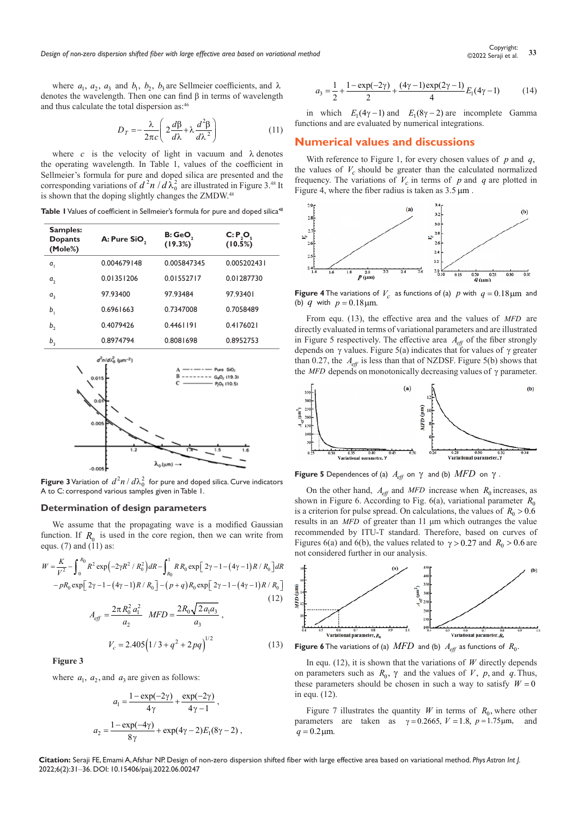*Design of non-zero dispersion shifted fiber with large effective area based on variational method* **<sup>33</sup>** Copyright:

where  $a_1$ ,  $a_2$ ,  $a_3$  and  $b_1$ ,  $b_2$ ,  $b_3$  are Sellmeier coefficients, and  $\lambda$ denotes the wavelength. Then one can find β in terms of wavelength and thus calculate the total dispersion as:46

$$
D_T = -\frac{\lambda}{2\pi c} \left( 2\frac{d\beta}{d\lambda} + \lambda \frac{d^2\beta}{d\lambda^2} \right) \tag{11}
$$

where  $c$  is the velocity of light in vacuum and  $\lambda$  denotes the operating wavelength. In Table 1, values of the coefficient in Sellmeier's formula for pure and doped silica are presented and the corresponding variations of  $d^2n/d\lambda_0^2$  are illustrated in Figure 3.<sup>48</sup> It is shown that the doping slightly changes the ZMDW.<sup>48</sup>

**Table 1** Values of coefficient in Sellmeier's formula for pure and doped silica<sup>48</sup>

| Samples:<br><b>Dopants</b><br>(Mole%) | A: Pure SiO, | B: GeO,<br>(19.3%) | C: P, O,<br>(10.5%) |
|---------------------------------------|--------------|--------------------|---------------------|
| a,                                    | 0.004679148  | 0.005847345        | 0.005202431         |
| a,                                    | 0.01351206   | 0.01552717         | 0.01287730          |
| $a_{3}$                               | 97.93400     | 97.93484           | 97.93401            |
| b                                     | 0.6961663    | 0.7347008          | 0.7058489           |
| b,                                    | 0.4079426    | 0.4461191          | 0.4176021           |
| b,                                    | 0.8974794    | 0.8081698          | 0.8952753           |



**Figure 3** Variation of  $d^2n/d\lambda_0^2$  for pure and doped silica. Curve indicators A to C: correspond various samples given in Table 1.

#### **Determination of design parameters**

We assume that the propagating wave is a modified Gaussian function. If  $R_0$  is used in the core region, then we can write from equs.  $(7)$  and  $(11)$  as:

$$
W = \frac{K}{V^2} - \int_0^{R_0} R^2 \exp\left(-2\gamma R^2 / R_0^2\right) dR - \int_{R_0}^1 R R_0 \exp\left[2\gamma - 1 - (4\gamma - 1)R / R_0\right] dR
$$
  
\n
$$
-pR_0 \exp\left[2\gamma - 1 - (4\gamma - 1)R / R_0\right] - (p + q)R_0 \exp\left[2\gamma - 1 - (4\gamma - 1)R / R_0\right]
$$
  
\n
$$
A_{eff} = \frac{2\pi R_0^2 a_1^2}{a_2} \quad MFD = \frac{2R_0 \sqrt{2a_1 a_3}}{a_3},
$$
  
\n
$$
V_c = 2.405 \left(1/3 + q^2 + 2pq\right)^{1/2}
$$
 (13)

**Figure 3**

where  $a_1$ ,  $a_2$ , and  $a_3$  are given as follows:

$$
a_1 = \frac{1 - \exp(-2\gamma)}{4\gamma} + \frac{\exp(-2\gamma)}{4\gamma - 1},
$$
  

$$
a_2 = \frac{1 - \exp(-4\gamma)}{8\gamma} + \exp(4\gamma - 2)E_1(8\gamma - 2),
$$

$$
a_3 = \frac{1}{2} + \frac{1 - \exp(-2\gamma)}{2} + \frac{(4\gamma - 1)\exp(2\gamma - 1)}{4}E_1(4\gamma - 1) \tag{14}
$$

in which  $E_1(4\gamma - 1)$  and  $E_1(8\gamma - 2)$  are incomplete Gamma functions and are evaluated by numerical integrations.

## **Numerical values and discussions**

With reference to Figure 1, for every chosen values of *p* and *q*, the values of  $V_c$  should be greater than the calculated normalized frequency. The variations of  $V_c$  in terms of  $p$  and  $q$  are plotted in Figure 4, where the fiber radius is taken as  $3.5 \,\text{\mu m}$ .



**Figure 4** The variations of  $V_c$  as functions of (a) p with  $q = 0.18 \mu m$  and (b)  $q$  with  $p = 0.18 \,\text{\mu m}$ .

From equ. (13), the effective area and the values of *MFD* are directly evaluated in terms of variational parameters and are illustrated in Figure 5 respectively. The effective area  $A<sub>eff</sub>$  of the fiber strongly depends on  $\gamma$  values. Figure 5(a) indicates that for values of  $\gamma$  greater than 0.27, the  $A_{\text{eff}}$  is less than that of NZDSF. Figure 5(b) shows that the *MFD* depends on monotonically decreasing values of γ parameter.



**Figure 5** Dependences of (a)  $A_{\text{eff}}$  on  $\gamma$  and (b)  $\text{MFD}$  on  $\gamma$ .

On the other hand,  $A_{\text{eff}}$  and *MFD* increase when  $R_0$  increases, as shown in Figure 6. According to Fig. 6(a), variational parameter  $R_0$ is a criterion for pulse spread. On calculations, the values of  $R_0 > 0.6$ results in an *MFD* of greater than 11 μm which outranges the value recommended by ITU-T standard. Therefore, based on curves of Figures 6(a) and 6(b), the values related to  $\gamma > 0.27$  and  $R_0 > 0.6$  are not considered further in our analysis.



**Figure 6** The variations of (a)  $\overline{MFD}$  and (b)  $A_{\text{eff}}$  as functions of  $R_0$ .

In equ. (12), it is shown that the variations of  $W$  directly depends on parameters such as  $R_0$ ,  $\gamma$  and the values of *V*, *p*, and *q*. Thus, these parameters should be chosen in such a way to satisfy  $W = 0$ in equ. (12).

Figure 7 illustrates the quantity *W* in terms of  $R_0$ , where other parameters are taken as  $\gamma = 0.2665$ ,  $V = 1.8$ ,  $p = 1.75 \,\mu\text{m}$ , and  $q = 0.2$  um.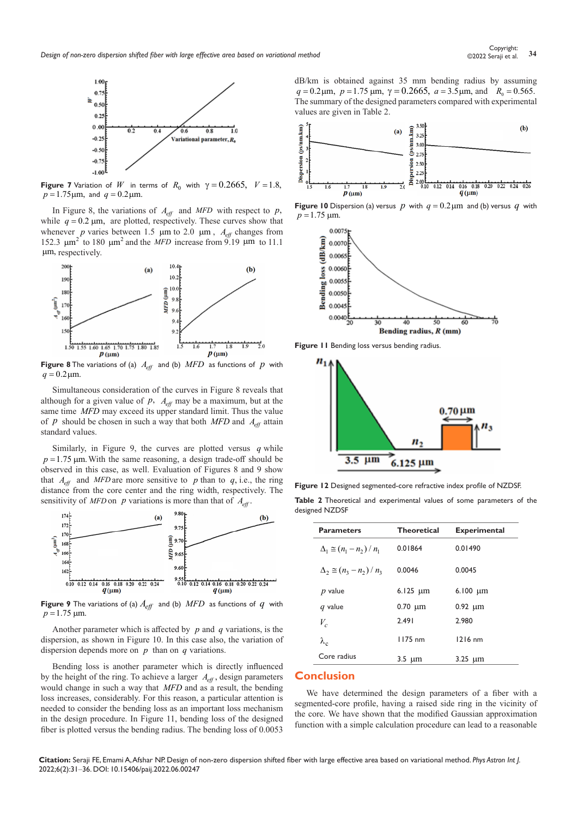

**Figure 7** Variation of *W* in terms of  $R_0$  with  $\gamma = 0.2665$ ,  $V = 1.8$ ,  $p = 1.75 \,\mu m$ , and  $q = 0.2 \,\mu m$ .

In Figure 8, the variations of  $A_{\text{eff}}$  and MFD with respect to p, while  $q = 0.2 \mu m$ , are plotted, respectively. These curves show that whenever *p* varies between 1.5  $\mu$ m to 2.0  $\mu$ m,  $A_{eff}$  changes from 152.3  $\mu$ m<sup>2</sup> to 180  $\mu$ m<sup>2</sup> and the *MFD* increase from 9.19  $\mu$ m to 11.1 µm, respectively.



**Figure 8** The variations of (a)  $A_{\text{eff}}$  and (b)  $\text{MFD}$  as functions of  $p$  with  $q = 0.2 \,\text{\mu m}$ .

Simultaneous consideration of the curves in Figure 8 reveals that although for a given value of  $p$ ,  $A_{\text{eff}}$  may be a maximum, but at the same time *MFD* may exceed its upper standard limit. Thus the value of *p* should be chosen in such a way that both *MFD* and  $A_{\text{eff}}$  attain standard values.

Similarly, in Figure 9, the curves are plotted versus *q* while  $p = 1.75$  µm. With the same reasoning, a design trade-off should be observed in this case, as well. Evaluation of Figures 8 and 9 show that  $A_{\text{eff}}$  and MFD are more sensitive to p than to q, i.e., the ring distance from the core center and the ring width, respectively. The sensitivity of *MFD* on *p* variations is more than that of  $A_{\text{eff}}$ .



**Figure 9** The variations of (a)  $A_{\text{eff}}$  and (b)  $\text{MFD}$  as functions of  $q$  with  $p = 1.75$   $\mu$ m.

Another parameter which is affected by *p* and *q* variations, is the dispersion, as shown in Figure 10. In this case also, the variation of dispersion depends more on *p* than on *q* variations.

Bending loss is another parameter which is directly influenced by the height of the ring. To achieve a larger  $A_{\text{eff}}$ , design parameters would change in such a way that *MFD* and as a result, the bending loss increases, considerably. For this reason, a particular attention is needed to consider the bending loss as an important loss mechanism in the design procedure. In Figure 11, bending loss of the designed fiber is plotted versus the bending radius. The bending loss of 0.0053

dB/km is obtained against 35 mm bending radius by assuming  $q = 0.2 \,\mu\text{m}, p = 1.75 \,\mu\text{m}, \gamma = 0.2665, a = 3.5 \,\mu\text{m}, \text{and} R_0 = 0.565.$ The summary of the designed parameters compared with experimental values are given in Table 2.



**Figure 10** Dispersion (a) versus  $p$  with  $q = 0.2 \mu m$  and (b) versus  $q$  with  $p = 1.75$   $\mu$ m.



**Figure 11** Bending loss versus bending radius.



**Figure 12** Designed segmented-core refractive index profile of NZDSF.

**Table 2** Theoretical and experimental values of some parameters of the designed NZDSF

| <b>Parameters</b>                  | <b>Theoretical</b> | <b>Experimental</b> |
|------------------------------------|--------------------|---------------------|
| $\Delta_1 \cong (n_1 - n_2) / n_1$ | 0.01864            | 0.01490             |
| $\Delta_2 \cong (n_3 - n_2)/n_3$   | 0.0046             | 0.0045              |
| $p$ value                          | $6.125 \mu m$      | $6.100 \mu m$       |
| $q$ value                          | $0.70 \mu m$       | $0.92 \mu m$        |
| $V_c$                              | 7.491              | 2.980               |
| $\lambda_c$                        | $1175$ nm          | $1216$ nm           |
| Core radius                        | $3.5 \; \mu m$     | $3.25 \mu m$        |

## **Conclusion**

We have determined the design parameters of a fiber with a segmented-core profile, having a raised side ring in the vicinity of the core. We have shown that the modified Gaussian approximation function with a simple calculation procedure can lead to a reasonable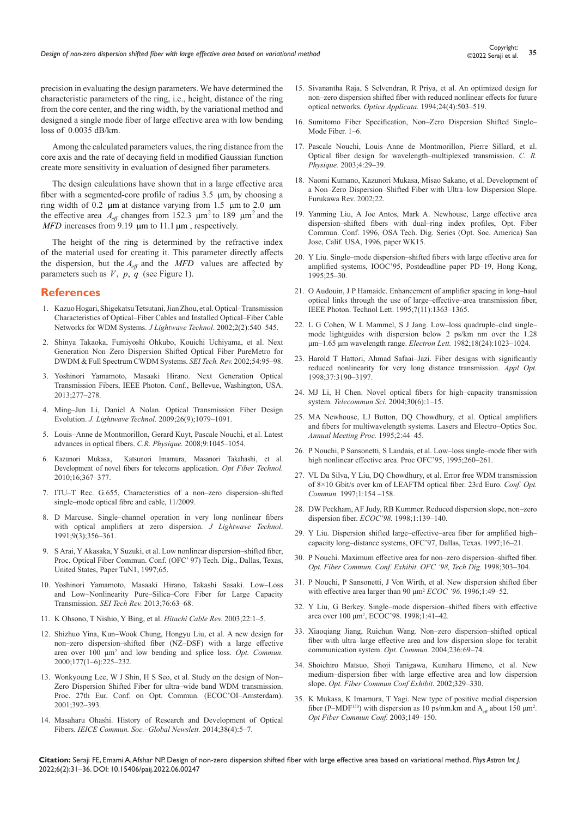precision in evaluating the design parameters. We have determined the characteristic parameters of the ring, i.e., height, distance of the ring from the core center, and the ring width, by the variational method and designed a single mode fiber of large effective area with low bending loss of 0.0035 dB/km.

Among the calculated parameters values, the ring distance from the core axis and the rate of decaying field in modified Gaussian function create more sensitivity in evaluation of designed fiber parameters.

The design calculations have shown that in a large effective area fiber with a segmented-core profile of radius 3.5 µm, by choosing a ring width of 0.2 µm at distance varying from 1.5 µm to 2.0 µm the effective area  $A_{\text{eff}}$  changes from 152.3  $\mu$ m<sup>2</sup> to 189  $\mu$ m<sup>2</sup> and the *MFD* increases from 9.19 μm to 11.1 μm, respectively.

The height of the ring is determined by the refractive index of the material used for creating it. This parameter directly affects the dispersion, but the  $A_{\text{eff}}$  and the *MFD* values are affected by parameters such as  $V$ ,  $p$ ,  $q$  (see Figure 1).

## **References**

- 1. Kazuo Hogari, Shigekatsu Tetsutani, Jian Zhou, et al. Optical–Transmission [Characteristics of Optical‒Fiber Cables and Installed Optical‒Fiber Cable](https://opg.optica.org/jlt/abstract.cfm?uri=jlt-21-2-540)  [Networks for WDM Systems.](https://opg.optica.org/jlt/abstract.cfm?uri=jlt-21-2-540) *J Lightwave Technol*. 2002;2(2):540–545.
- 2. Shinya Takaoka, Fumiyoshi Ohkubo, Kouichi Uchiyama, et al. Next Generation Non‒Zero Dispersion Shifted Optical Fiber PureMetro for DWDM & Full Spectrum CWDM Systems. *SEI Tech. Rev.* 2002;54:95-98.
- 3. Yoshinori Yamamoto, Masaaki Hirano. Next Generation Optical Transmission Fibers, IEEE Photon. Conf., Bellevue, Washington, USA. 2013;277‒278.
- 4. [Ming‒Jun Li, Daniel A Nolan. Optical Transmission Fiber Design](https://opg.optica.org/jlt/abstract.cfm?uri=jlt-26-9-1079)  Evolution. *J. Lightwave Technol.* 2009;26(9);1079-1091.
- 5. [Louis‒Anne de Montmorillon, Gerard Kuyt, Pascale Nouchi, et al. Latest](https://www.sciencedirect.com/science/article/pii/S1631070508001400)  [advances in optical fibers.](https://www.sciencedirect.com/science/article/pii/S1631070508001400) *C.R. Physique.* 2008;9:1045-1054.
- 6. Kazunori [Mukasa, Katsunori](https://ui.adsabs.harvard.edu/abs/2010OptFT..16..367M/abstract) Imamura, Masanori Takahashi, et al. Development of novel fibers for telecoms application. *[Opt Fiber Technol.](https://ui.adsabs.harvard.edu/abs/2010OptFT..16..367M/abstract)*  [2010;16;367‒377.](https://ui.adsabs.harvard.edu/abs/2010OptFT..16..367M/abstract)
- 7. ITU-T Rec. G.655, Characteristics of a non-zero dispersion-shifted single-mode optical fibre and cable, 11/2009.
- 8. D Marcuse. Single-channel operation in very long nonlinear fibers with optical amplifiers at zero dispersion. *J Lightwave Technol*. 1991;9(3);356‒361.
- 9. S Arai, Y Akasaka, Y Suzuki, et al. Low nonlinear dispersion-shifted fiber, [Proc. Optical Fiber Commun. Conf. \(OFC' 97\) Tech. Dig., Dallas, Texas,](https://opg.optica.org/abstract.cfm?uri=OFC-1997-TuN1)  [United States, Paper TuN1, 1997;65.](https://opg.optica.org/abstract.cfm?uri=OFC-1997-TuN1)
- 10. Yoshinori Yamamoto, Masaaki Hirano, Takashi Sasaki. Low-Loss and Low-Nonlinearity Pure-Silica-Core Fiber for Large Capacity Transmission. *SEI Tech Rev.* [2013;76:63‒68.](https://global-sei.com/technology/tr/bn76/pdf/76-10.pdf)
- 11. K Ohsono, T Nishio, Y Bing, et al. *Hitachi Cable Rev.* 2003;22:1-5.
- 12. [Shizhuo Yina,](https://www.sciencedirect.com/science/article/abs/pii/S0030401800005678) Kun‒Wook Chung, Hongyu Liu, [et al.](https://www.sciencedirect.com/science/article/abs/pii/S0030401800005678) A new design for non-zero dispersion-shifted fiber (NZ-DSF) with a large effective area over 100 μm<sup>2</sup> and low bending and splice loss. Opt. Commun. 2000;177(1‒6):225‒232.
- 13. Wonkyoung Lee, W J Shin, H S Seo, et al. Study on the design of Non-Zero Dispersion Shifted Fiber for ultra-wide band WDM transmission. Proc. 27th Eur. Conf. on Opt. Commun. (ECOC'OI-Amsterdam). 2001;392‒393.
- 14. Masaharu Ohashi. History of Research and Development of Optical Fibers. *IEICE Commun. Soc.*-Global Newslett. 2014;38(4):5-7.
- 15. [Sivanantha Raja, S Selvendran, R Priya, et al. An optimized design for](http://yadda.icm.edu.pl/baztech/element/bwmeta1.element.baztech-ee90d28e-3c44-4e8c-9084-db20272c0ebd)  [non‒zero dispersion shifted fiber with reduced nonlinear effects for future](http://yadda.icm.edu.pl/baztech/element/bwmeta1.element.baztech-ee90d28e-3c44-4e8c-9084-db20272c0ebd)  optical networks. *Optica Applicata.* [1994;24\(4\):503‒519.](http://yadda.icm.edu.pl/baztech/element/bwmeta1.element.baztech-ee90d28e-3c44-4e8c-9084-db20272c0ebd)
- 16. Sumitomo Fiber Specification, Non-Zero Dispersion Shifted Single-Mode Fiber. 1-6.
- 17. Pascale Nouchi, Louis‒Anne de Montmorillon, Pierre Sillard, et al. Optical fiber design for wavelength-multiplexed transmission. *C. R. Physique.* 2003;4:29–39.
- 18. Naomi Kumano, Kazunori Mukasa, Misao Sakano, et al. Development of a Non-Zero Dispersion-Shifted Fiber with Ultra-low Dispersion Slope. Furukawa Rev. 2002;22.
- 19. Yanming Liu, A Joe Antos, Mark A. Newhouse, Large effective area dispersion-shifted fibers with dual-ring index profiles, Opt. Fiber Commun. Conf. 1996, OSA Tech. Dig. Series (Opt. Soc. America) San Jose, Calif. USA, 1996, paper WK15.
- 20. Y Liu. Single-mode dispersion-shifted fibers with large effective area for amplified systems, IOOC'95, Postdeadline paper PD-19, Hong Kong,  $1995.25 - 30$
- 21. O Audouin, J P Hamaide. Enhancement of amplifier spacing in long-haul optical links through the use of large-effective-area transmission fiber, IEEE Photon. Technol Lett. 1995;7(11):1363-1365.
- 22. L G Cohen, W L Mammel, S J Jang. Low-loss quadruple-clad singlemode lightguides with dispersion below 2 ps/km nm over the 1.28 μm-1.65 μm wavelength range. *Electron Lett.* 1982;18(24):1023-1024.
- 23. Harold T Hattori, Ahmad Safaai-Jazi. Fiber designs with significantly [reduced nonlinearity for very long distance transmission.](https://opg.optica.org/ao/abstract.cfm?uri=ao-37-15-3190) *Appl Opt.* [1998;37:3190‒3197.](https://opg.optica.org/ao/abstract.cfm?uri=ao-37-15-3190)
- 24. MJ Li, H Chen. Novel optical fibers for high-capacity transmission system. *Telecommun Sci.* 2004;30(6):1–15.
- 25. [MA Newhouse, LJ Button, DQ Chowdhury, et al. Optical amplifiers](https://www.thorlabs.com/navigation.cfm?guide_id=2105&gclid=Cj0KCQjw3v6SBhCsARIsACyrRAlp17bVMAn69GnF-FjMZDBplISD6xOIMGCPxB5DbYagKSG0OPnSE60aArtPEALw_wcB)  and fibers for multiwavelength systems. Lasers and Electro-Optics Soc. *[Annual Meeting Proc.](https://www.thorlabs.com/navigation.cfm?guide_id=2105&gclid=Cj0KCQjw3v6SBhCsARIsACyrRAlp17bVMAn69GnF-FjMZDBplISD6xOIMGCPxB5DbYagKSG0OPnSE60aArtPEALw_wcB)* 1995;2:44‒45.
- 26. P Nouchi, P Sansonetti, S Landais, et al. Low-loss single-mode fiber with high nonlinear effective area. Proc OFC'95, 1995;260-261.
- 27. [VL Da Silva, Y Liu, DQ Chowdhury, et al. Error free WDM transmission](https://opg.optica.org/abstract.cfm?uri=OFC-1996-PD2)  [of 8×10 Gbit/s over km of LEAFTM optical fiber. 23rd Euro.](https://opg.optica.org/abstract.cfm?uri=OFC-1996-PD2) *Conf. Opt. Commun.* [1997;1:154 –158.](https://opg.optica.org/abstract.cfm?uri=OFC-1996-PD2)
- 28. DW Peckham, AF Judy, RB Kummer. Reduced dispersion slope, non-zero dispersion fiber. *ECOC'98*. 1998;1:139-140.
- 29. Y Liu. Dispersion shifted large-effective-area fiber for amplified highcapacity long-distance systems, OFC'97, Dallas, Texas. 1997;16-21.
- 30. P Nouchi. Maximum effective area for non-zero dispersion-shifted fiber. [Opt. Fiber Commun. Conf. Exhibit. OFC '98, Tech Dig.](https://opg.optica.org/abstract.cfm?uri=OFC-1998-ThK3) 1998;303-304.
- 31. P Nouchi, P Sansonetti, J Von Wirth, et al. New dispersion shifted fiber with effective area larger than 90 μm<sup>2</sup> *ECOC* '96. 1996;1:49–52.
- 32. Y Liu, G Berkey. Single-mode dispersion-shifted fibers with effective area over 100 μm<sup>2</sup>, ECOC'98. 1998;1:41-42.
- 33. Xiaoqiang Jiang, Ruichun Wang. Non-zero dispersion-shifted optical fiber with ultra-large effective area and low dispersion slope for terabit [communication system.](https://ui.adsabs.harvard.edu/abs/2004OptCo.236...69J/abstract) *Opt. Commun.* 2004;236:69–74.
- 34. [Shoichiro Matsuo, Shoji Tanigawa, Kuniharu Himeno, et al. New](https://opg.optica.org/abstract.cfm?uri=OFC-2002-WU2)  [medium‒dispersion fiber wlth large effective area and low dispersion](https://opg.optica.org/abstract.cfm?uri=OFC-2002-WU2)  slope. [Opt. Fiber Commun Conf Exhibit.](https://opg.optica.org/abstract.cfm?uri=OFC-2002-WU2) 2002;329-330.
- 35. [K Mukasa, K Imamura, T Yagi. New type of positive medial dispersion](https://opg.optica.org/abstract.cfm?uri=OFC-2003-TuB1)  fiber (P-MDF<sup>150</sup>) with dispersion as 10 ps/nm.km and  $A_{\text{eff}}$  about 150  $\mu$ m<sup>2</sup>. *[Opt Fiber Commun Conf.](https://opg.optica.org/abstract.cfm?uri=OFC-2003-TuB1)* 2003;149‒150.